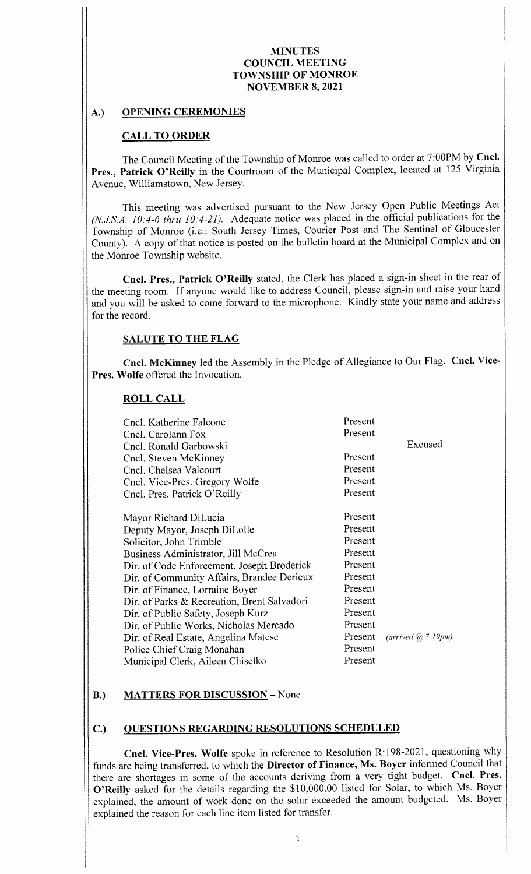## A.) OPENING CEREMONIES

## CALL TO ORDER

The Council Meeting of the Township of Monroe was called to order at 7: 00PM by Cncl. Pres., Patrick O'Reilly in the Courtroom of the Municipal Complex, located at 125 Virginia Avenue, Williamstown, New Jersey.

This meeting was advertised pursuant to the New Jersey Open Public Meetings Act  $(N.J.S.A. 10: 4-6$  thru  $10: 4-21$ ). Adequate notice was placed in the official publications for the Township of Monroe (i.e.: South Jersey Times, Courier Post and The Sentinel of Gloucester County). A copy of that notice is posted on the bulletin board at the Municipal Complex and on the Monroe Township website.

Cncl. Pres., Patrick O'Reilly stated, the Clerk has placed a sign-in sheet in the rear of the meeting room. If anyone would like to address Council, please sign-in and raise your hand and you will be asked to come forward to the microphone. Kindly state your name and address for the record.

## SALUTE TO THE FLAG

Cncl. McKinney led the Assembly in the Pledge of Allegiance to Our Flag. Cncl. Vice-Pres. Wolfe offered the Invocation.

#### ROLL CALL

| Cncl. Katherine Falcone<br>Cncl. Carolann Fox<br>Cncl. Ronald Garbowski | Present<br>Present | Excused            |
|-------------------------------------------------------------------------|--------------------|--------------------|
| Cncl. Steven McKinney                                                   | Present            |                    |
| Cncl. Chelsea Valcourt                                                  | Present            |                    |
| Cncl. Vice-Pres. Gregory Wolfe                                          | Present            |                    |
| Cncl. Pres. Patrick O'Reilly                                            | Present            |                    |
|                                                                         |                    |                    |
| Mayor Richard DiLucia                                                   | Present            |                    |
| Deputy Mayor, Joseph DiLolle                                            | Present            |                    |
| Solicitor, John Trimble                                                 | Present            |                    |
| Business Administrator, Jill McCrea                                     | Present            |                    |
| Dir. of Code Enforcement, Joseph Broderick                              | Present            |                    |
| Dir. of Community Affairs, Brandee Derieux                              | Present            |                    |
| Dir. of Finance, Lorraine Boyer                                         | Present            |                    |
| Dir. of Parks & Recreation, Brent Salvadori                             | Present            |                    |
| Dir. of Public Safety, Joseph Kurz                                      | Present            |                    |
| Dir. of Public Works, Nicholas Mercado                                  | Present            |                    |
| Dir. of Real Estate, Angelina Matese                                    | Present            | (arrived @ 7.19pm) |
| Police Chief Craig Monahan                                              | Present            |                    |
| Municipal Clerk, Aileen Chiselko                                        | Present            |                    |

# B.) MATTERS FOR DISCUSSION - None

## C.) QUESTIONS REGARDING RESOLUTIONS SCHEDULED

Cncl. Vice-Pres. Wolfe spoke in reference to Resolution R:198-2021, questioning why funds are being transferred, to which the Director of Finance, Ms. Boyer informed Council that there are shortages in some of the accounts deriving from <sup>a</sup> very tight budget. Cncl. Pres. O'Reilly asked for the details regarding the \$10,000.00 listed for Solar, to which Ms. Boyer explained, the amount of work done on the solar exceeded the amount budgeted. Ms. Boyer explained the reason for each line item listed for transfer.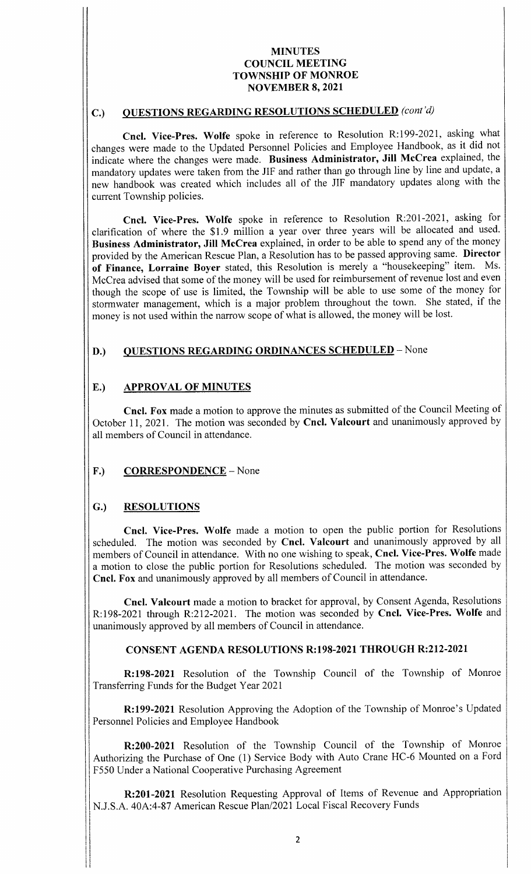# C.) QUESTIONS REGARDING RESOLUTIONS SCHEDULED (cont'd)

Cncl. Vice-Pres. Wolfe spoke in reference to Resolution R:199-2021, asking what changes were made to the Updated Personnel Policies and Employee Handbook, as it did not indicate where the changes were made. Business Administrator, Jill McCrea explained, the mandatory updates were taken from the JIF and rather than go through line by line and update, a new handbook was created which includes all of the JIF mandatory updates along with the current Township policies.

Cncl. Vice-Pres. Wolfe spoke in reference to Resolution R:201-2021, asking for clarification of where the \$1.9 million a year over three years will be allocated and used. Business Administrator, Jill McCrea explained, in order to be able to spend any of the money provided by the American Rescue Plan, <sup>a</sup> Resolution has to be passed approving same. Director of Finance, Lorraine Boyer stated, this Resolution is merely a "housekeeping" item. Ms. McCrea advised that some of the money will be used for reimbursement of revenue lost and even though the scope of use is limited, the Township will be able to use some of the money for stormwater management, which is <sup>a</sup> major problem throughout the town. She stated, if the money is not used within the narrow scope of what is allowed, the money will be lost.

# D.) QUESTIONS REGARDING ORDINANCES SCHEDULED - None

# E.) APPROVAL OF MINUTES

Cncl. Fox made a motion to approve the minutes as submitted of the Council Meeting of October 11, 2021. The motion was seconded by Cncl. Valcourt and unanimously approved by all members of Council in attendance.

# F.) CORRESPONDENCE – None

## G.) RESOLUTIONS

Cncl. Vice-Pres. Wolfe made a motion to open the public portion for Resolutions scheduled. The motion was seconded by Cncl. Valcourt and unanimously approved by all members of Council in attendance. With no one wishing to speak, Cncl. Vice-Pres. Wolfe made <sup>a</sup> motion to close the public portion for Resolutions scheduled. The motion was seconded by Cncl. Fox and unanimously approved by all members of Council in attendance.

Cncl. Valcourt made a motion to bracket for approval, by Consent Agenda, Resolutions R: 198-2021 through R: 212-2021. The motion was seconded by Cncl. Vice-Pres. Wolfe and unanimously approved by all members of Council in attendance.

## CONSENT AGENDA RESOLUTIONS R:198-2021 THROUGH R:212-2021

R: 198-2021 Resolution of the Township Council of the Township of Monroe Transferring Funds for the Budget Year 2021

R: 199-2021 Resolution Approving the Adoption of the Township of Monroe's Updated Personnel Policies and Employee Handbook

R:200-2021 Resolution of the Township Council of the Township of Monroe Authorizing the Purchase of One (1) Service Body with Auto Crane HC-6 Mounted on a Ford F550 Under a National Cooperative Purchasing Agreement

R:201-2021 Resolution Requesting Approval of Items of Revenue and Appropriation N.J.S.A. 40A:4-87 American Rescue Plan/2021 Local Fiscal Recovery Funds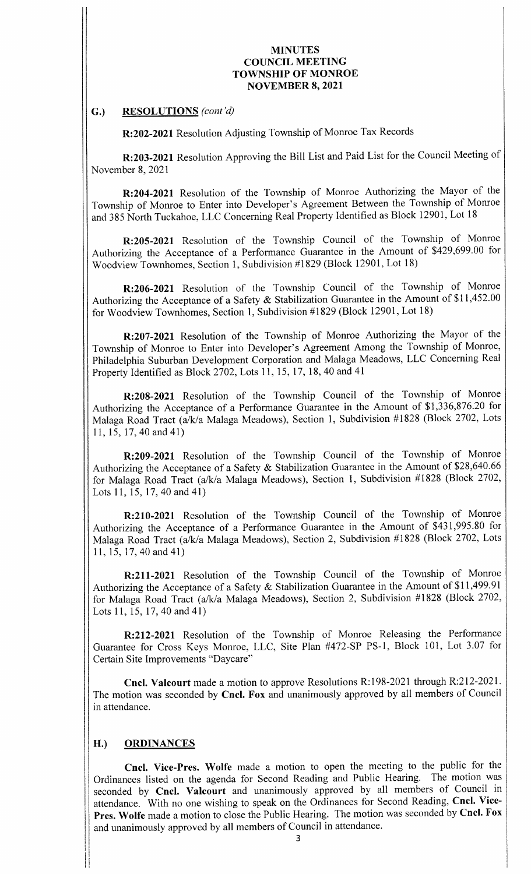#### G.) RESOLUTIONS (cont'd)

R:202- 2021 Resolution Adjusting Township of Monroe Tax Records

R: 203-2021 Resolution Approving the Bill List and Paid List for the Council Meeting of November 8, 2021

R:204- 2021 Resolution of the Township of Monroe Authorizing the Mayor of the Township of Monroe to Enter into Developer's Agreement Between the Township of Monroe and 385 North Tuckahoe, LLC Concerning Real Property Identified as Block 12901, Lot 18

R: 205- <sup>2021</sup> Resolution of the Township Council of the Township of Monroe Authorizing the Acceptance of a Performance Guarantee in the Amount of \$429,699.00 for Woodview Townhomes, Section 1, Subdivision #1829 (Block 12901, Lot 18)

R:206-2021 Resolution of the Township Council of the Township of Monroe Authorizing the Acceptance of a Safety  $\&$  Stabilization Guarantee in the Amount of \$11,452.00 for Woodview Townhomes, Section 1, Subdivision #1829 (Block 12901, Lot 18)

R: 207- 2021 Resolution of the Township of Monroe Authorizing the Mayor of the Township of Monroe to Enter into Developer's Agreement Among the Township of Monroe, <sup>I</sup> Philadelphia Suburban Development Corporation and Malaga Meadows, LLC Concerning Real Property Identified as Block 2702, Lots 11, 15, 17, 18, 40 and 41

R: 208-2021 Resolution of the Township Council of the Township of Monroe Authorizing the Acceptance of a Performance Guarantee in the Amount of \$1,336,876.20 for Malaga Road Tract (a/k/a Malaga Meadows), Section 1, Subdivision #1828 (Block 2702, Lots 11, 15, 17, 40 and 41)

R: 209-2021 Resolution of the Township Council of the Township of Monroe Authorizing the Acceptance of a Safety & Stabilization Guarantee in the Amount of \$28,640.66 for Malaga Road Tract (a/k/a Malaga Meadows), Section 1, Subdivision #1828 (Block 2702, Lots 11, 15, 17, 40 and 41)

R: 210-2021 Resolution of the Township Council of the Township of Monroe Authorizing the Acceptance of <sup>a</sup> Performance Guarantee in the Amount of \$431, 995. <sup>80</sup> for Malaga Road Tract (a/k/a Malaga Meadows), Section 2, Subdivision #1828 (Block 2702, Lots 11, 15, 17, 40 and 41)

R:211-2021 Resolution of the Township Council of the Township of Monroe Authorizing the Acceptance of a Safety & Stabilization Guarantee in the Amount of \$11,499.91 for Malaga Road Tract (a/k/a Malaga Meadows), Section 2, Subdivision #1828 (Block 2702, Lots 11, 15, 17, 40 and 41)

R:212-2021 Resolution of the Township of Monroe Releasing the Performance Guarantee for Cross Keys Monroe, LLC, Site Plan #472-SP PS-1, Block 101, Lot 3.07 for Certain Site Improvements "Daycare"

Cncl. Valcourt made a motion to approve Resolutions R:198-2021 through R:212-2021. The motion was seconded by Cncl. Fox and unanimously approved by all members of Council in attendance.

## H.) ORDINANCES

Cncl. Vice-Pres. Wolfe made a motion to open the meeting to the public for the Ordinances listed on the agenda for Second Reading and Public Hearing. The motion was seconded by Cncl. Valcourt and unanimously approved by all members of Council in attendance. With no one wishing to speak on the Ordinances for Second Reading, Cncl. Vice-Pres. Wolfe made a motion to close the Public Hearing. The motion was seconded by Cncl. Fox and unanimously approved by all members of Council in attendance.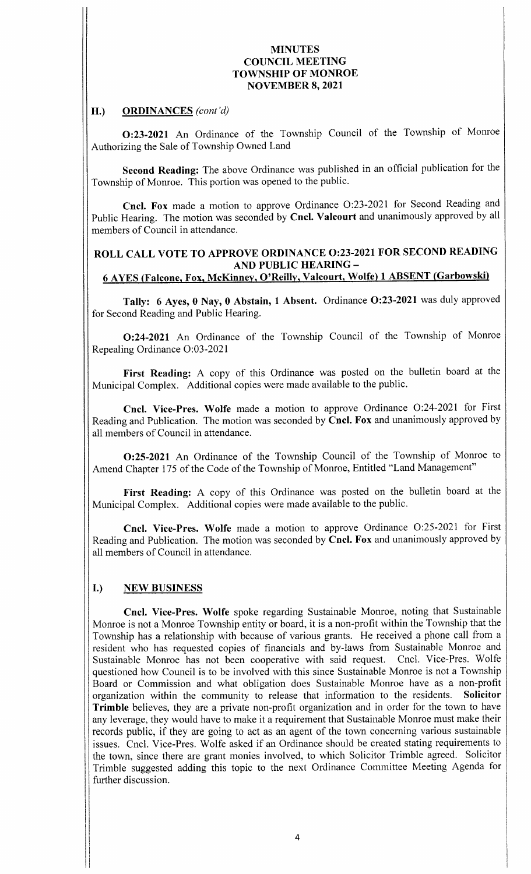## H.) ORDINANCES (cont'd)

0:23- <sup>2021</sup> An Ordinance of the Township Council of the Township of Monroe Authorizing the Sale of Township Owned Land

Second Reading: The above Ordinance was published in an official publication for the Township of Monroe. This portion was opened to the public.

Cncl. Fox made a motion to approve Ordinance O:23-2021 for Second Reading and Public Hearing. The motion was seconded by Cncl. Valcourt and unanimously approved by all members of Council in attendance.

# ROLL CALL VOTE TO APPROVE ORDINANCE 0:23-2021 FOR SECOND READING AND PUBLIC HEARING— 6 AYES ( Falcone, Fox, McKinney, O' Reilly, Valcourt, Wolfe) 1 ABSENT ( Garbowski)

Tally: 6 Ayes, 0 Nay, 0 Abstain, 1 Absent. Ordinance O:23-2021 was duly approved for Second Reading and Public Hearing.

0:24- <sup>2021</sup> An Ordinance of the Township Council of the Township of Monroe Repealing Ordinance O:03-2021

First Reading: A copy of this Ordinance was posted on the bulletin board at the Municipal Complex. Additional copies were made available to the public.

Cncl. Vice-Pres. Wolfe made a motion to approve Ordinance O:24-2021 for First Reading and Publication. The motion was seconded by Cncl. Fox and unanimously approved by all members of Council in attendance.

0:25- <sup>2021</sup> An Ordinance of the Township Council of the Township of Monroe to Amend Chapter 175 of the Code of the Township of Monroe, Entitled "Land Management"

First Reading: A copy of this Ordinance was posted on the bulletin board at the Municipal Complex. Additional copies were made available to the public.

Cncl. Vice-Pres. Wolfe made a motion to approve Ordinance O:25-2021 for First Reading and Publication. The motion was seconded by Cncl. Fox and unanimously approved by all members of Council in attendance.

# I.) NEW BUSINESS

 $\blacksquare$ 

Cncl. Vice-Pres. Wolfe spoke regarding Sustainable Monroe, noting that Sustainable Monroe is not a Monroe Township entity or board, it is a non-profit within the Township that the Township has a relationship with because of various grants. He received <sup>a</sup> phone call from <sup>a</sup> resident who has requested copies of financials and by- laws from Sustainable Monroe and Sustainable Monroe has not been cooperative with said request. Cncl. Vice-Pres. Wolfe questioned how Council is to be involved with this since Sustainable Monroe is not a Township Board or Commission and what obligation does Sustainable Monroe have as a non-profit organization within the community to release that information to the residents. Solicitor organization within the community to release that information to the residents. Trimble believes, they are a private non-profit organization and in order for the town to have any leverage, they would have to make it a requirement that Sustainable Monroe must make their records public, if they are going to act as an agent of the town concerning various sustainable issues. Cncl. Vice-Pres. Wolfe asked if an Ordinance should be created stating requirements to the town, since there are grant monies involved, to which Solicitor Trimble agreed. Solicitor Trimble suggested adding this topic to the next Ordinance Committee Meeting Agenda for further discussion.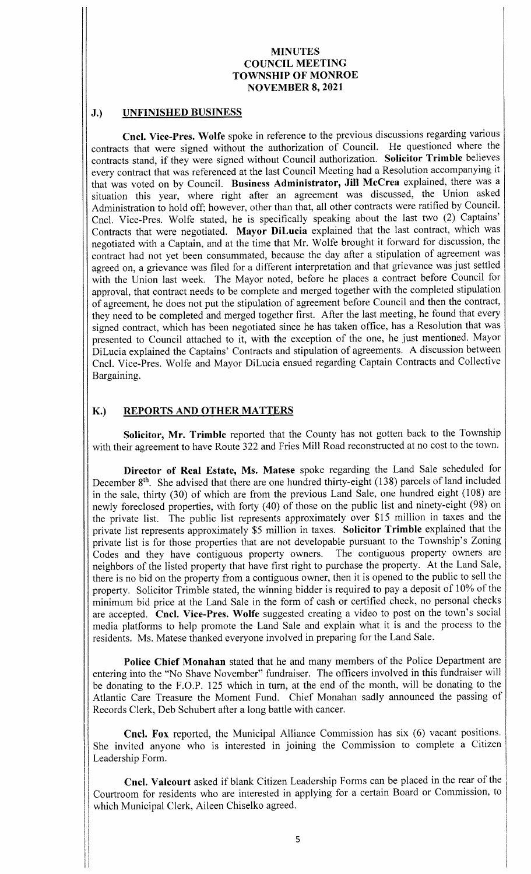#### J.) UNFINISHED BUSINESS

Cncl. Vice-Pres. Wolfe spoke in reference to the previous discussions regarding various contracts that were signed without the authorization of Council. He questioned where the contracts stand, if they were signed without Council authorization. Solicitor Trimble believes every contract that was referenced at the last Council Meeting had a Resolution accompanying it that was voted on by Council. Business Administrator, Jill McCrea explained, there was <sup>a</sup> situation this year, where right after an agreement was discussed, the Union asked Administration to hold off; however, other than that, all other contracts were ratified by Council. Cncl. Vice-Pres. Wolfe stated, he is specifically speaking about the last two (2) Captains' Contracts that were negotiated. Mayor DiLucia explained that the last contract, which was negotiated with <sup>a</sup> Captain, and at the time that Mr. Wolfe brought it forward for discussion, the contract had not yet been consummated, because the day after <sup>a</sup> stipulation of agreement was agreed on, a grievance was filed for a different interpretation and that grievance was just settled with the Union last week. The Mayor noted, before he places a contract before Council for approval, that contract needs to be complete and merged together with the completed stipulation of agreement, he does not put the stipulation of agreement before Council and then the contract, they need to be completed and merged together first. After the last meeting, he found that every signed contract, which has been negotiated since he has taken office, has a Resolution that was presented to Council attached to it, with the exception of the one, he just mentioned. Mayor DiLucia explained the Captains' Contracts and stipulation of agreements. A discussion between Cncl. Vice- Pres. Wolfe and Mayor DiLucia ensued regarding Captain Contracts and Collective Bargaining.

# K.) REPORTS AND OTHER MATTERS

Solicitor, Mr. Trimble reported that the County has not gotten back to the Township with their agreement to have Route 322 and Fries Mill Road reconstructed at no cost to the town.

Director of Real Estate, Ms. Matese spoke regarding the Land Sale scheduled for December 8<sup>th</sup>. She advised that there are one hundred thirty-eight (138) parcels of land included in the sale, thirty (30) of which are from the previous Land Sale, one hundred eight (108) are newly foreclosed properties, with forty (40) of those on the public list and ninety-eight (98) on the private list. The public list represents approximately over \$15 million in taxes and the private list represents approximately \$5 million in taxes. Solicitor Trimble explained that the private list is for those properties that are not developable pursuant to the Township's Zoning Codes and they have contiguous property owners. The contiguous property owners are neighbors of the listed property that have first right to purchase the property. At the Land Sale, there is no bid on the property from a contiguous owner, then it is opened to the public to sell the property. Solicitor Trimble stated, the winning bidder is required to pay <sup>a</sup> deposit of 10% of the minimum bid price at the Land Sale in the form of cash or certified check, no personal checks are accepted. Cncl. Vice-Pres. Wolfe suggested creating a video to post on the town's social media platforms to help promote the Land Sale and explain what it is and the process to the residents. Ms. Matese thanked everyone involved in preparing for the Land Sale.

Police Chief Monahan stated that he and many members of the Police Department are entering into the "No Shave November" fundraiser. The officers involved in this fundraiser will be donating to the F.O.P. 125 which in turn, at the end of the month, will be donating to the Atlantic Care Treasure the Moment Fund. Chief Monahan sadly announced the passing of Records Clerk, Deb Schubert after a long battle with cancer.

Cncl. Fox reported, the Municipal Alliance Commission has six (6) vacant positions. She invited anyone who is interested in joining the Commission to complete a Citizen Leadership Form.

Cncl. Valcourt asked if blank Citizen Leadership Forms can be placed in the rear of the Courtroom for residents who are interested in applying for a certain Board or Commission, to which Municipal Clerk, Aileen Chiselko agreed.

I I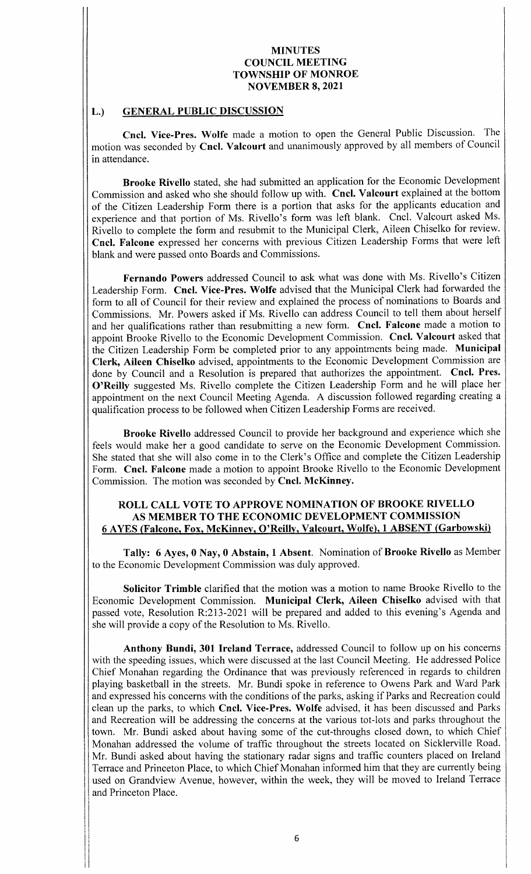# L.) GENERAL PUBLIC DISCUSSION

Cncl. Vice-Pres. Wolfe made a motion to open the General Public Discussion. The motion was seconded by Cncl. Valcourt and unanimously approved by all members of Council in attendance.

Brooke Rivello stated, she had submitted an application for the Economic Development Commission and asked who she should follow up with. Cncl. Valcourt explained at the bottom of the Citizen Leadership Form there is a portion that asks for the applicants education and experience and that portion of Ms. Rivello's form was left blank. Cncl. Valcourt asked Ms. Rivello to complete the form and resubmit to the Municipal Clerk, Aileen Chiselko for review. Cncl. Falcone expressed her concerns with previous Citizen Leadership Forms that were left blank and were passed onto Boards and Commissions.

Fernando Powers addressed Council to ask what was done with Ms. Rivello's Citizen Leadership Form. Cncl. Vice-Pres. Wolfe advised that the Municipal Clerk had forwarded the form to all of Council for their review and explained the process of nominations to Boards and Commissions. Mr. Powers asked if Ms. Rivello can address Council to tell them about herself and her qualifications rather than resubmitting a new form. Cncl. Falcone made a motion to appoint Brooke Rivello to the Economic Development Commission. Cncl. Valcourt asked that the Citizen Leadership Form be completed prior to any appointments being made. Municipal Clerk, Aileen Chiselko advised, appointments to the Economic Development Commission are done by Council and <sup>a</sup> Resolution is prepared that authorizes the appointment. Cncl. Pres. O'Reilly suggested Ms. Rivello complete the Citizen Leadership Form and he will place her appointment on the next Council Meeting Agenda. A discussion followed regarding creating <sup>a</sup> qualification process to be followed when Citizen Leadership Forms are received.

Brooke Rivello addressed Council to provide her background and experience which she feels would make her a good candidate to serve on the Economic Development Commission. She stated that she will also come in to the Clerk's Office and complete the Citizen Leadership Form. Cncl. Falcone made a motion to appoint Brooke Rivello to the Economic Development Commission. The motion was seconded by Cncl. McKinney.

#### ROLL CALL VOTE TO APPROVE NOMINATION OF BROOKE RIVELLO AS MEMBER TO THE ECONOMIC DEVELOPMENT COMMISSION <sup>6</sup> AYES ( Falcone, Fox, McKinney, O' Reilly, Valcourt, Wolfe), <sup>1</sup> ABSENT ( Garbowski)

Tally: 6 Ayes, 0 Nay, 0 Abstain, 1 Absent. Nomination of Brooke Rivello as Member to the Economic Development Commission was duly approved.

Solicitor Trimble clarified that the motion was <sup>a</sup> motion to name Brooke Rivello to the Economic Development Commission. Municipal Clerk, Aileen Chiselko advised with that passed vote, Resolution R:213-2021 will be prepared and added to this evening's Agenda and she will provide <sup>a</sup> copy of the Resolution to Ms. Rivello.

Anthony Bundi, 301 Ireland Terrace, addressed Council to follow up on his concerns with the speeding issues, which were discussed at the last Council Meeting. He addressed Police Chief Monahan regarding the Ordinance that was previously referenced in regards to children playing basketball in the streets. Mr. Bundi spoke in reference to Owens Park and Ward Park and expressed his concerns with the conditions of the parks, asking if Parks and Recreation could clean up the parks, to which Cncl. Vice-Pres. Wolfe advised, it has been discussed and Parks and Recreation will be addressing the concerns at the various tot- lots and parks throughout the town. Mr. Bundi asked about having some of the cut-throughs closed down, to which Chief Monahan addressed the volume of traffic throughout the streets located on Sicklerville Road. Mr. Bundi asked about having the stationary radar signs and traffic counters placed on Ireland Terrace and Princeton Place, to which Chief Monahan informed him that they are currently being used on Grandview Avenue, however, within the week, they will be moved to Ireland Terrace and Princeton Place.

i film and a structure of the structure of the structure of the structure of the structure of the structure of